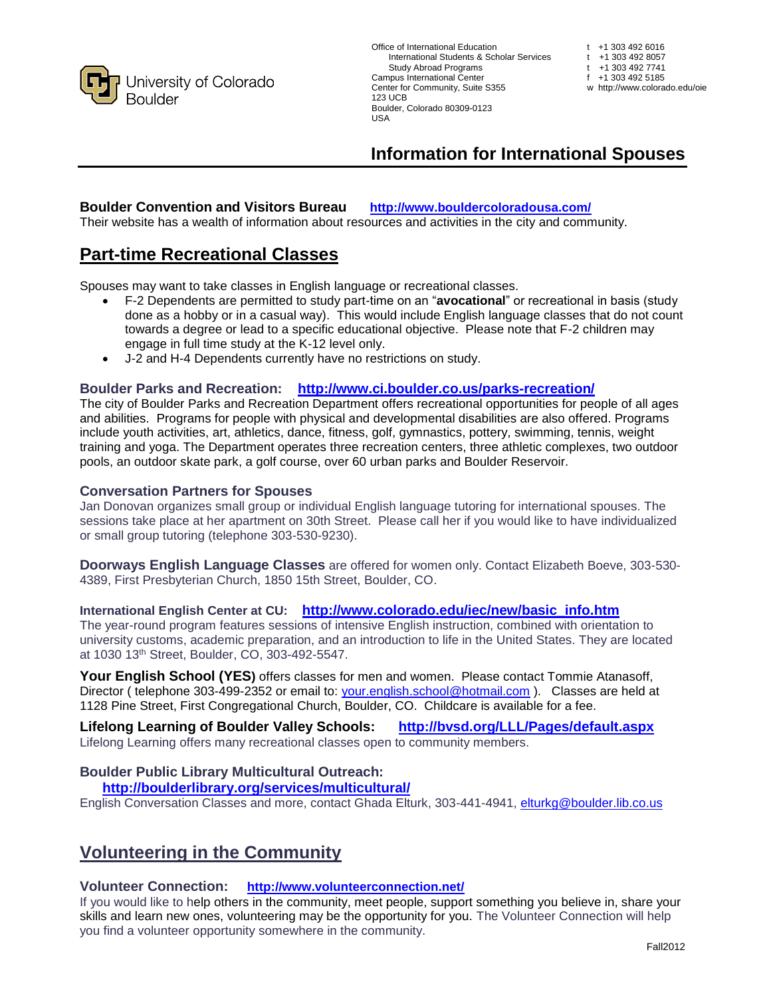

Office of International Education International Students & Scholar Services Study Abroad Programs t Campus International Center Center for Community, Suite S355 w http://www.colorado.edu/oie 123 UCB Boulder, Colorado 80309-0123  $11S<sub>A</sub>$ 

| +1 303 492 6016              |
|------------------------------|
| +1 303 492 8057              |
| +1 303 492 7741              |
| +1 303 492 5185              |
| v http://www.colorado.edu/oi |
|                              |

# **Information for International Spouses**

### **Boulder Convention and Visitors Bureau <http://www.bouldercoloradousa.com/>**

Their website has a wealth of information about resources and activities in the city and community.

### **Part-time Recreational Classes**

Spouses may want to take classes in English language or recreational classes.

- F-2 Dependents are permitted to study part-time on an "**avocational**" or recreational in basis (study done as a hobby or in a casual way). This would include English language classes that do not count towards a degree or lead to a specific educational objective. Please note that F-2 children may engage in full time study at the K-12 level only.
- J-2 and H-4 Dependents currently have no restrictions on study.

### **Boulder Parks and Recreation: <http://www.ci.boulder.co.us/parks-recreation/>**

The city of Boulder Parks and Recreation Department offers recreational opportunities for people of all ages and abilities. Programs for people with physical and developmental disabilities are also offered. Programs include youth activities, art, athletics, dance, fitness, golf, gymnastics, pottery, swimming, tennis, weight training and yoga. The Department operates three recreation centers, three athletic complexes, two outdoor pools, an outdoor skate park, a golf course, over 60 urban parks and Boulder Reservoir.

### **Conversation Partners for Spouses**

Jan Donovan organizes small group or individual English language tutoring for international spouses. The sessions take place at her apartment on 30th Street. Please call her if you would like to have individualized or small group tutoring (telephone 303-530-9230).

**Doorways English Language Classes** are offered for women only. Contact Elizabeth Boeve, 303-530- 4389, First Presbyterian Church, 1850 15th Street, Boulder, CO.

**International English Center at CU: [http://www.colorado.edu/iec/new/basic\\_info.htm](http://www.colorado.edu/iec/new/basic_info.htm)**

The year-round program features sessions of intensive English instruction, combined with orientation to university customs, academic preparation, and an introduction to life in the United States. They are located at 1030 13th Street, Boulder, CO, 303-492-5547.

**Your English School (YES)** offers classes for men and women. Please contact Tommie Atanasoff, Director ( telephone 303-499-2352 or email to: [your.english.school@hotmail.com](mailto:your.english.school@hotmail.com) ). Classes are held at 1128 Pine Street, First Congregational Church, Boulder, CO. Childcare is available for a fee.

**Lifelong Learning of Boulder Valley Schools: <http://bvsd.org/LLL/Pages/default.aspx>** Lifelong Learning offers many recreational classes open to community members.

### **Boulder Public Library Multicultural Outreach:**

### **<http://boulderlibrary.org/services/multicultural/>**

English Conversation Classes and more, contact Ghada Elturk, 303-441-4941, [elturkg@boulder.lib.co.us](mailto:elturkg@boulder.lib.co.us)

## **Volunteering in the Community**

#### **Volunteer Connection: <http://www.volunteerconnection.net/>**

If you would like to help others in the community, meet people, support something you believe in, share your skills and learn new ones, volunteering may be the opportunity for you. The Volunteer Connection will help you find a volunteer opportunity somewhere in the community.